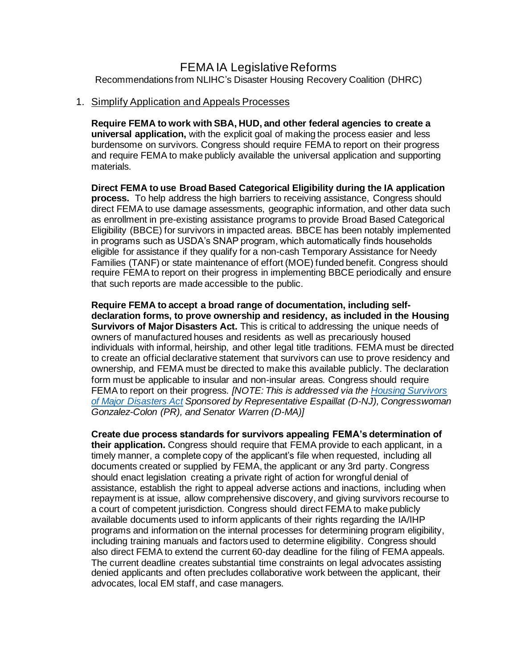# FEMA IA Legislative Reforms

Recommendations from NLIHC's Disaster Housing Recovery Coalition (DHRC)

#### 1. Simplify Application and Appeals Processes

**Require FEMA to work with SBA, HUD, and other federal agencies to create a universal application,** with the explicit goal of making the process easier and less burdensome on survivors. Congress should require FEMA to report on their progress and require FEMA to make publicly available the universal application and supporting materials.

**Direct FEMA to use Broad Based Categorical Eligibility during the IA application process.** To help address the high barriers to receiving assistance, Congress should direct FEMA to use damage assessments, geographic information, and other data such as enrollment in pre-existing assistance programs to provide Broad Based Categorical Eligibility (BBCE) for survivors in impacted areas. BBCE has been notably implemented in programs such as USDA's SNAP program, which automatically finds households eligible for assistance if they qualify for a non-cash Temporary Assistance for Needy Families (TANF) or state maintenance of effort (MOE) funded benefit. Congress should require FEMA to report on their progress in implementing BBCE periodically and ensure that such reports are made accessible to the public.

**Require FEMA to accept a broad range of documentation, including selfdeclaration forms, to prove ownership and residency, as included in the Housing Survivors of Major Disasters Act.** This is critical to addressing the unique needs of owners of manufactured houses and residents as well as precariously housed individuals with informal, heirship, and other legal title traditions. FEMA must be directed to create an official declarative statement that survivors can use to prove residency and ownership, and FEMA must be directed to make this available publicly. The declaration form must be applicable to insular and non-insular areas. Congress should require FEMA to report on their progress. *[NOTE: This is addressed via th[e Housing Survivors](https://www.congress.gov/bill/117th-congress/house-bill/3037?r=15&s=1)  [of Major Disasters Act](https://www.congress.gov/bill/117th-congress/house-bill/3037?r=15&s=1) Sponsored by Representative Espaillat (D-NJ), Congresswoman Gonzalez-Colon (PR), and Senator Warren (D-MA)]*

**Create due process standards for survivors appealing FEMA's determination of their application.** Congress should require that FEMA provide to each applicant, in a timely manner, a complete copy of the applicant's file when requested, including all documents created or supplied by FEMA, the applicant or any 3rd party. Congress should enact legislation creating a private right of action for wrongful denial of assistance, establish the right to appeal adverse actions and inactions, including when repayment is at issue, allow comprehensive discovery, and giving survivors recourse to a court of competent jurisdiction. Congress should direct FEMA to make publicly available documents used to inform applicants of their rights regarding the IA/IHP programs and information on the internal processes for determining program eligibility, including training manuals and factors used to determine eligibility. Congress should also direct FEMA to extend the current 60-day deadline for the filing of FEMA appeals. The current deadline creates substantial time constraints on legal advocates assisting denied applicants and often precludes collaborative work between the applicant, their advocates, local EM staff, and case managers.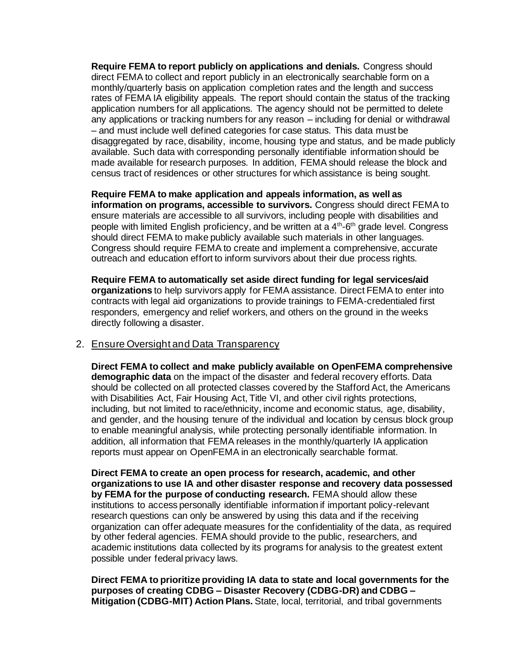**Require FEMA to report publicly on applications and denials.** Congress should direct FEMA to collect and report publicly in an electronically searchable form on a monthly/quarterly basis on application completion rates and the length and success rates of FEMA IA eligibility appeals. The report should contain the status of the tracking application numbers for all applications. The agency should not be permitted to delete any applications or tracking numbers for any reason – including for denial or withdrawal – and must include well defined categories for case status. This data must be disaggregated by race, disability, income, housing type and status, and be made publicly available. Such data with corresponding personally identifiable information should be made available for research purposes. In addition, FEMA should release the block and census tract of residences or other structures for which assistance is being sought.

**Require FEMA to make application and appeals information, as well as information on programs, accessible to survivors.** Congress should direct FEMA to ensure materials are accessible to all survivors, including people with disabilities and people with limited English proficiency, and be written at a 4<sup>th</sup>-6<sup>th</sup> grade level. Congress should direct FEMA to make publicly available such materials in other languages. Congress should require FEMA to create and implement a comprehensive, accurate outreach and education effort to inform survivors about their due process rights.

**Require FEMA to automatically set aside direct funding for legal services/aid organizations** to help survivors apply for FEMA assistance. Direct FEMA to enter into contracts with legal aid organizations to provide trainings to FEMA-credentialed first responders, emergency and relief workers, and others on the ground in the weeks directly following a disaster.

### 2. Ensure Oversight and Data Transparency

**Direct FEMA to collect and make publicly available on OpenFEMA comprehensive demographic data** on the impact of the disaster and federal recovery efforts. Data should be collected on all protected classes covered by the Stafford Act, the Americans with Disabilities Act, Fair Housing Act, Title VI, and other civil rights protections, including, but not limited to race/ethnicity, income and economic status, age, disability, and gender, and the housing tenure of the individual and location by census block group to enable meaningful analysis, while protecting personally identifiable information. In addition, all information that FEMA releases in the monthly/quarterly IA application reports must appear on OpenFEMA in an electronically searchable format.

**Direct FEMA to create an open process for research, academic, and other organizations to use IA and other disaster response and recovery data possessed by FEMA for the purpose of conducting research.** FEMA should allow these institutions to access personally identifiable information if important policy-relevant research questions can only be answered by using this data and if the receiving organization can offer adequate measures for the confidentiality of the data, as required by other federal agencies. FEMA should provide to the public, researchers, and academic institutions data collected by its programs for analysis to the greatest extent possible under federal privacy laws.

**Direct FEMA to prioritize providing IA data to state and local governments for the purposes of creating CDBG – Disaster Recovery (CDBG-DR) and CDBG – Mitigation (CDBG-MIT) Action Plans.** State, local, territorial, and tribal governments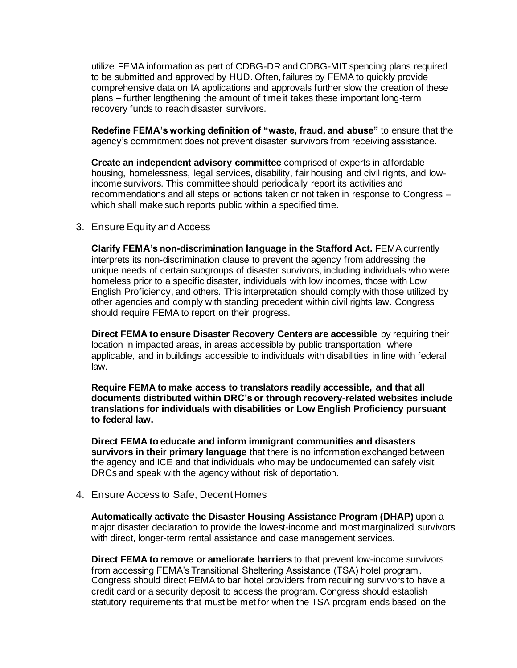utilize FEMA information as part of CDBG-DR and CDBG-MIT spending plans required to be submitted and approved by HUD. Often, failures by FEMA to quickly provide comprehensive data on IA applications and approvals further slow the creation of these plans – further lengthening the amount of time it takes these important long-term recovery funds to reach disaster survivors.

**Redefine FEMA's working definition of "waste, fraud, and abuse"** to ensure that the agency's commitment does not prevent disaster survivors from receiving assistance.

**Create an independent advisory committee** comprised of experts in affordable housing, homelessness, legal services, disability, fair housing and civil rights, and lowincome survivors. This committee should periodically report its activities and recommendations and all steps or actions taken or not taken in response to Congress – which shall make such reports public within a specified time.

### 3. Ensure Equity and Access

**Clarify FEMA's non-discrimination language in the Stafford Act.** FEMA currently interprets its non-discrimination clause to prevent the agency from addressing the unique needs of certain subgroups of disaster survivors, including individuals who were homeless prior to a specific disaster, individuals with low incomes, those with Low English Proficiency, and others. This interpretation should comply with those utilized by other agencies and comply with standing precedent within civil rights law. Congress should require FEMA to report on their progress.

**Direct FEMA to ensure Disaster Recovery Centers are accessible** by requiring their location in impacted areas, in areas accessible by public transportation, where applicable, and in buildings accessible to individuals with disabilities in line with federal law.

**Require FEMA to make access to translators readily accessible, and that all documents distributed within DRC's or through recovery-related websites include translations for individuals with disabilities or Low English Proficiency pursuant to federal law.** 

**Direct FEMA to educate and inform immigrant communities and disasters survivors in their primary language** that there is no information exchanged between the agency and ICE and that individuals who may be undocumented can safely visit DRCs and speak with the agency without risk of deportation.

4. Ensure Access to Safe, Decent Homes

**Automatically activate the Disaster Housing Assistance Program (DHAP)** upon a major disaster declaration to provide the lowest-income and most marginalized survivors with direct, longer-term rental assistance and case management services.

**Direct FEMA to remove or ameliorate barriers** to that prevent low-income survivors from accessing FEMA's Transitional Sheltering Assistance (TSA) hotel program. Congress should direct FEMA to bar hotel providers from requiring survivors to have a credit card or a security deposit to access the program. Congress should establish statutory requirements that must be met for when the TSA program ends based on the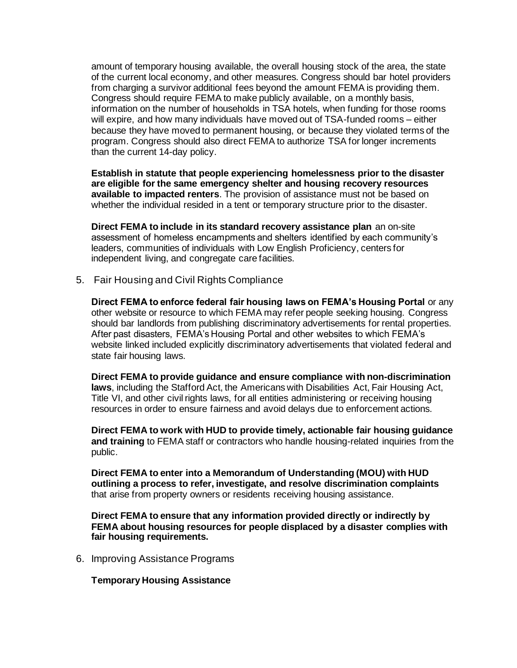amount of temporary housing available, the overall housing stock of the area, the state of the current local economy, and other measures. Congress should bar hotel providers from charging a survivor additional fees beyond the amount FEMA is providing them. Congress should require FEMA to make publicly available, on a monthly basis, information on the number of households in TSA hotels, when funding for those rooms will expire, and how many individuals have moved out of TSA-funded rooms – either because they have moved to permanent housing, or because they violated terms of the program. Congress should also direct FEMA to authorize TSA for longer increments than the current 14-day policy.

**Establish in statute that people experiencing homelessness prior to the disaster are eligible for the same emergency shelter and housing recovery resources available to impacted renters**. The provision of assistance must not be based on whether the individual resided in a tent or temporary structure prior to the disaster.

**Direct FEMA to include in its standard recovery assistance plan** an on-site assessment of homeless encampments and shelters identified by each community's leaders, communities of individuals with Low English Proficiency, centers for independent living, and congregate care facilities.

5. Fair Housing and Civil Rights Compliance

**Direct FEMA to enforce federal fair housing laws on FEMA's Housing Portal** or any other website or resource to which FEMA may refer people seeking housing. Congress should bar landlords from publishing discriminatory advertisements for rental properties. After past disasters, FEMA's Housing Portal and other websites to which FEMA's website linked included explicitly discriminatory advertisements that violated federal and state fair housing laws.

**Direct FEMA to provide guidance and ensure compliance with non-discrimination laws**, including the Stafford Act, the Americans with Disabilities Act, Fair Housing Act, Title VI, and other civil rights laws, for all entities administering or receiving housing resources in order to ensure fairness and avoid delays due to enforcement actions.

**Direct FEMA to work with HUD to provide timely, actionable fair housing guidance and training** to FEMA staff or contractors who handle housing-related inquiries from the public.

**Direct FEMA to enter into a Memorandum of Understanding (MOU) with HUD outlining a process to refer, investigate, and resolve discrimination complaints**  that arise from property owners or residents receiving housing assistance.

**Direct FEMA to ensure that any information provided directly or indirectly by FEMA about housing resources for people displaced by a disaster complies with fair housing requirements.**

6. Improving Assistance Programs

**Temporary Housing Assistance**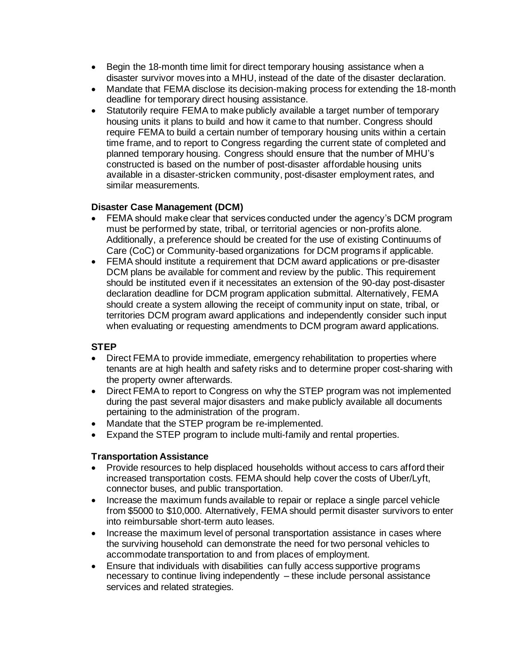- Begin the 18-month time limit for direct temporary housing assistance when a disaster survivor moves into a MHU, instead of the date of the disaster declaration.
- Mandate that FEMA disclose its decision-making process for extending the 18-month deadline for temporary direct housing assistance.
- Statutorily require FEMA to make publicly available a target number of temporary housing units it plans to build and how it came to that number. Congress should require FEMA to build a certain number of temporary housing units within a certain time frame, and to report to Congress regarding the current state of completed and planned temporary housing. Congress should ensure that the number of MHU's constructed is based on the number of post-disaster affordable housing units available in a disaster-stricken community, post-disaster employment rates, and similar measurements.

### **Disaster Case Management (DCM)**

- FEMA should make clear that services conducted under the agency's DCM program must be performed by state, tribal, or territorial agencies or non-profits alone. Additionally, a preference should be created for the use of existing Continuums of Care (CoC) or Community-based organizations for DCM programs if applicable.
- FEMA should institute a requirement that DCM award applications or pre-disaster DCM plans be available for comment and review by the public. This requirement should be instituted even if it necessitates an extension of the 90-day post-disaster declaration deadline for DCM program application submittal. Alternatively, FEMA should create a system allowing the receipt of community input on state, tribal, or territories DCM program award applications and independently consider such input when evaluating or requesting amendments to DCM program award applications.

## **STEP**

- Direct FEMA to provide immediate, emergency rehabilitation to properties where tenants are at high health and safety risks and to determine proper cost-sharing with the property owner afterwards.
- Direct FEMA to report to Congress on why the STEP program was not implemented during the past several major disasters and make publicly available all documents pertaining to the administration of the program.
- Mandate that the STEP program be re-implemented.
- Expand the STEP program to include multi-family and rental properties.

### **Transportation Assistance**

- Provide resources to help displaced households without access to cars afford their increased transportation costs. FEMA should help cover the costs of Uber/Lyft, connector buses, and public transportation.
- Increase the maximum funds available to repair or replace a single parcel vehicle from \$5000 to \$10,000. Alternatively, FEMA should permit disaster survivors to enter into reimbursable short-term auto leases.
- Increase the maximum level of personal transportation assistance in cases where the surviving household can demonstrate the need for two personal vehicles to accommodate transportation to and from places of employment.
- Ensure that individuals with disabilities can fully access supportive programs necessary to continue living independently – these include personal assistance services and related strategies.